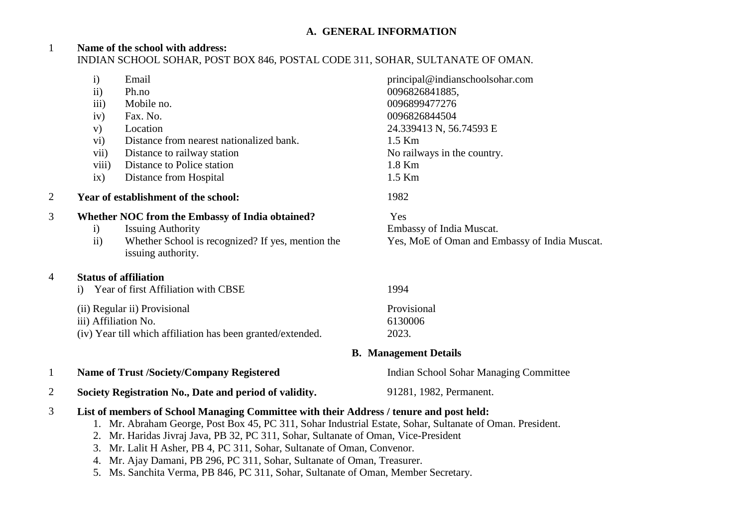## **A. GENERAL INFORMATION**

### 1 **Name of the school with address:** INDIAN SCHOOL SOHAR, POST BOX 846, POSTAL CODE 311, SOHAR, SULTANATE OF OMAN.

|                | $\mathbf{i}$         | Email                                                                                                                                                                                                | principal@indianschoolsohar.com               |  |
|----------------|----------------------|------------------------------------------------------------------------------------------------------------------------------------------------------------------------------------------------------|-----------------------------------------------|--|
|                | $\overline{11}$      | Ph.no                                                                                                                                                                                                | 0096826841885,                                |  |
|                | $\overline{iii}$     | Mobile no.                                                                                                                                                                                           | 0096899477276                                 |  |
|                | iv)                  | Fax. No.                                                                                                                                                                                             | 0096826844504                                 |  |
|                | V)                   | Location                                                                                                                                                                                             | 24.339413 N, 56.74593 E                       |  |
|                | $\rm vi)$            | Distance from nearest nationalized bank.                                                                                                                                                             | $1.5$ Km                                      |  |
|                | vii)                 | Distance to railway station                                                                                                                                                                          | No railways in the country.                   |  |
|                | viii)                | Distance to Police station                                                                                                                                                                           | 1.8 Km                                        |  |
|                | ix)                  | Distance from Hospital                                                                                                                                                                               | 1.5 Km                                        |  |
| 2              |                      | Year of establishment of the school:                                                                                                                                                                 | 1982                                          |  |
| 3              |                      | Whether NOC from the Embassy of India obtained?                                                                                                                                                      | Yes                                           |  |
|                | $\mathbf{i}$         | <b>Issuing Authority</b>                                                                                                                                                                             | Embassy of India Muscat.                      |  |
|                | $\rm ii)$            | Whether School is recognized? If yes, mention the<br>issuing authority.                                                                                                                              | Yes, MoE of Oman and Embassy of India Muscat. |  |
| 4              |                      | <b>Status of affiliation</b>                                                                                                                                                                         |                                               |  |
|                | $\mathbf{i}$         | Year of first Affiliation with CBSE                                                                                                                                                                  | 1994                                          |  |
|                |                      | (ii) Regular ii) Provisional                                                                                                                                                                         | Provisional                                   |  |
|                | iii) Affiliation No. |                                                                                                                                                                                                      | 6130006                                       |  |
|                |                      | (iv) Year till which affiliation has been granted/extended.                                                                                                                                          | 2023.                                         |  |
|                |                      |                                                                                                                                                                                                      | <b>B.</b> Management Details                  |  |
| $\mathbf{1}$   |                      | <b>Name of Trust /Society/Company Registered</b>                                                                                                                                                     | Indian School Sohar Managing Committee        |  |
| $\overline{2}$ |                      | Society Registration No., Date and period of validity.                                                                                                                                               | 91281, 1982, Permanent.                       |  |
| 3              |                      | List of members of School Managing Committee with their Address / tenure and post held:<br>1. Mr. Abraham George, Post Box 45, PC 311, Sohar Industrial Estate, Sohar, Sultanate of Oman. President. |                                               |  |

- 2. Mr. Haridas Jivraj Java, PB 32, PC 311, Sohar, Sultanate of Oman, Vice-President
- 3. Mr. Lalit H Asher, PB 4, PC 311, Sohar, Sultanate of Oman, Convenor.
- 4. Mr. Ajay Damani, PB 296, PC 311, Sohar, Sultanate of Oman, Treasurer.
- 5. Ms. Sanchita Verma, PB 846, PC 311, Sohar, Sultanate of Oman, Member Secretary.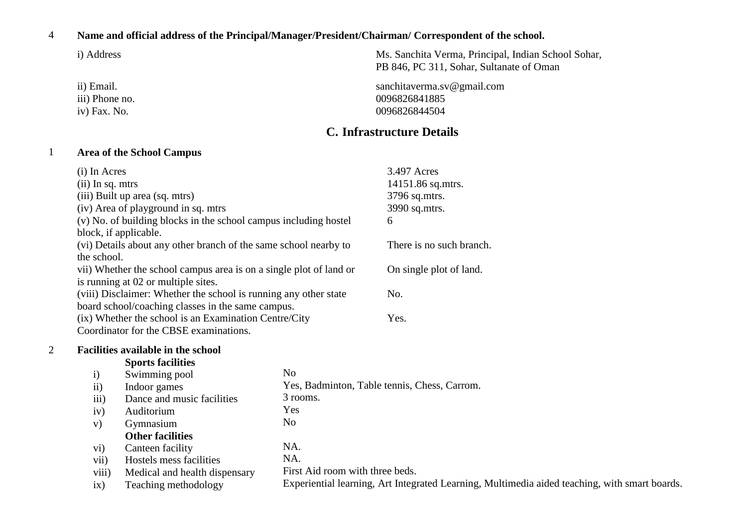#### 4 **Name and official address of the Principal/Manager/President/Chairman/ Correspondent of the school.**

ii) Email. iii) Phone no. iv) Fax. No.

i) Address Ms. Sanchita Verma, Principal, Indian School Sohar, PB 846, PC 311, Sohar, Sultanate of Oman

> sanchitaverma.sv@gmail.com 0096826841885 0096826844504

# **C. Infrastructure Details**

# 1 **Area of the School Campus**

|                | (i) In Acres       |                                                                    |                                 | 3.497 Acres                                                                                   |
|----------------|--------------------|--------------------------------------------------------------------|---------------------------------|-----------------------------------------------------------------------------------------------|
|                | $(ii)$ In sq. mtrs |                                                                    |                                 | 14151.86 sq.mtrs.                                                                             |
|                |                    | (iii) Built up area (sq. mtrs)                                     |                                 | 3796 sq.mtrs.                                                                                 |
|                |                    | (iv) Area of playground in sq. mtrs                                |                                 | 3990 sq.mtrs.                                                                                 |
|                |                    | (v) No. of building blocks in the school campus including hostel   |                                 | 6                                                                                             |
|                |                    | block, if applicable.                                              |                                 |                                                                                               |
|                |                    | (vi) Details about any other branch of the same school nearby to   |                                 | There is no such branch.                                                                      |
|                | the school.        |                                                                    |                                 |                                                                                               |
|                |                    | vii) Whether the school campus area is on a single plot of land or |                                 | On single plot of land.                                                                       |
|                |                    | is running at 02 or multiple sites.                                |                                 |                                                                                               |
|                |                    | (viii) Disclaimer: Whether the school is running any other state   |                                 | No.                                                                                           |
|                |                    | board school/coaching classes in the same campus.                  |                                 |                                                                                               |
|                |                    | (ix) Whether the school is an Examination Centre/City              |                                 | Yes.                                                                                          |
|                |                    | Coordinator for the CBSE examinations.                             |                                 |                                                                                               |
| $\overline{2}$ |                    | Facilities available in the school                                 |                                 |                                                                                               |
|                |                    | <b>Sports facilities</b>                                           |                                 |                                                                                               |
|                | $\mathbf{i}$       | Swimming pool                                                      | N <sub>0</sub>                  |                                                                                               |
|                | $\rm ii)$          | Indoor games                                                       |                                 | Yes, Badminton, Table tennis, Chess, Carrom.                                                  |
|                | iii)               | Dance and music facilities                                         | 3 rooms.                        |                                                                                               |
|                | iv)                | Auditorium                                                         | Yes                             |                                                                                               |
|                | V)                 | Gymnasium                                                          | N <sub>0</sub>                  |                                                                                               |
|                |                    | <b>Other facilities</b>                                            |                                 |                                                                                               |
|                | $\mathbf{vi})$     | Canteen facility                                                   | NA.                             |                                                                                               |
|                | vii)               | Hostels mess facilities                                            | NA.                             |                                                                                               |
|                | viii)              | Medical and health dispensary                                      | First Aid room with three beds. |                                                                                               |
|                | ix)                | Teaching methodology                                               |                                 | Experiential learning, Art Integrated Learning, Multimedia aided teaching, with smart boards. |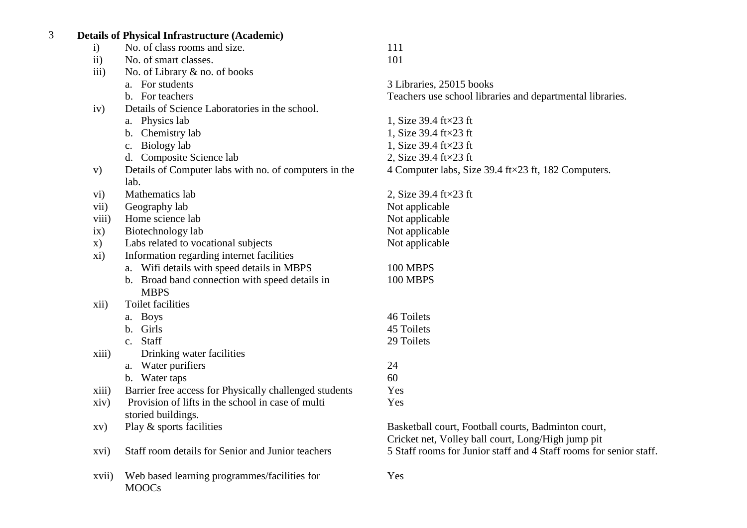# 3 **Details of Physical Infrastructure (Academic)**

| $\mathbf{i}$  | No. of class rooms and size.                           | 111                                                                |
|---------------|--------------------------------------------------------|--------------------------------------------------------------------|
| ii)           | No. of smart classes.                                  | 101                                                                |
| iii)          | No. of Library & no. of books                          |                                                                    |
|               | a. For students                                        | 3 Libraries, 25015 books                                           |
|               | b. For teachers                                        | Teachers use school libraries and departmental libraries.          |
| iv)           | Details of Science Laboratories in the school.         |                                                                    |
|               | a. Physics lab                                         | 1, Size 39.4 $ft \times 23$ ft                                     |
|               | b. Chemistry lab                                       | 1, Size 39.4 ft×23 ft                                              |
|               | c. Biology lab                                         | 1, Size 39.4 $ft \times 23$ ft                                     |
|               | d. Composite Science lab                               | 2, Size 39.4 $ft \times 23$ ft                                     |
| V)            | Details of Computer labs with no. of computers in the  | 4 Computer labs, Size 39.4 ft×23 ft, 182 Computers.                |
|               | lab.                                                   |                                                                    |
| $\rm\,vi)$    | Mathematics lab                                        | 2, Size 39.4 ft $\times$ 23 ft                                     |
| vii)          | Geography lab                                          | Not applicable                                                     |
| viii)         | Home science lab                                       | Not applicable                                                     |
| ix)           | Biotechnology lab                                      | Not applicable                                                     |
| $\mathbf{x})$ | Labs related to vocational subjects                    | Not applicable                                                     |
| xi)           | Information regarding internet facilities              |                                                                    |
|               | a. Wifi details with speed details in MBPS             | 100 MBPS                                                           |
|               | b. Broad band connection with speed details in         | 100 MBPS                                                           |
|               | <b>MBPS</b>                                            |                                                                    |
| xii)          | <b>Toilet facilities</b>                               |                                                                    |
|               | a. Boys                                                | 46 Toilets                                                         |
|               | b. Girls                                               | 45 Toilets                                                         |
|               | c. Staff                                               | 29 Toilets                                                         |
| xiii)         | Drinking water facilities                              |                                                                    |
|               | a. Water purifiers                                     | 24                                                                 |
|               | b. Water taps                                          | 60                                                                 |
| xiii)         | Barrier free access for Physically challenged students | Yes                                                                |
| xiv)          | Provision of lifts in the school in case of multi      | Yes                                                                |
|               | storied buildings.                                     |                                                                    |
| XV)           | Play & sports facilities                               | Basketball court, Football courts, Badminton court,                |
|               |                                                        | Cricket net, Volley ball court, Long/High jump pit                 |
| xvi)          | Staff room details for Senior and Junior teachers      | 5 Staff rooms for Junior staff and 4 Staff rooms for senior staff. |
| xvii)         | Web based learning programmes/facilities for           | Yes                                                                |
|               | <b>MOOCs</b>                                           |                                                                    |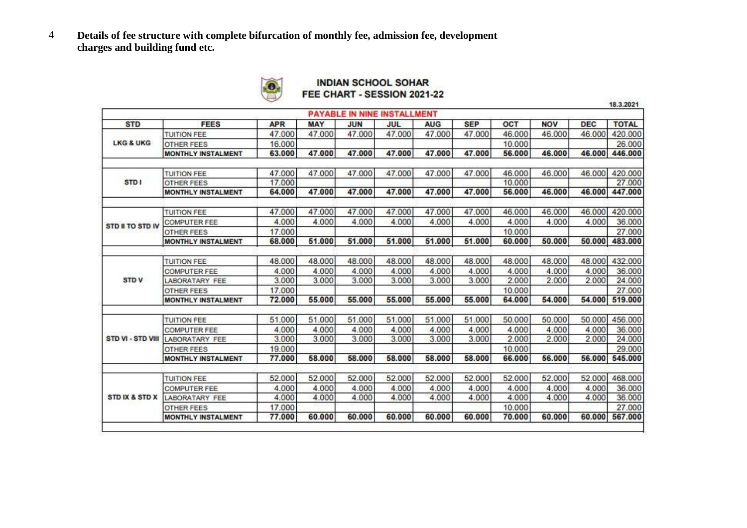4 **Details of fee structure with complete bifurcation of monthly fee, admission fee, development charges and building fund etc.**



### **INDIAN SCHOOL SOHAR** FEE CHART - SESSION 2021-22

18.3.2021

|                      |                           |            |            |            | <b>PAYABLE IN NINE INSTALLMENT</b> |            |            |        |            |            |              |
|----------------------|---------------------------|------------|------------|------------|------------------------------------|------------|------------|--------|------------|------------|--------------|
| <b>STD</b>           | <b>FEES</b>               | <b>APR</b> | <b>MAY</b> | <b>JUN</b> | JUL                                | <b>AUG</b> | <b>SEP</b> | OCT    | <b>NOV</b> | <b>DEC</b> | <b>TOTAL</b> |
|                      | <b>TUITION FEE</b>        | 47,000     | 47,000     | 47.000     | 47,000                             | 47.000     | 47.000     | 46,000 | 46,000     | 46.000     | 420,000      |
| <b>LKG &amp; UKG</b> | <b>OTHER FEES</b>         | 16,000     |            |            |                                    |            |            | 10.000 |            |            | 26,000       |
|                      | <b>MONTHLY INSTALMENT</b> | 63,000     | 47.000     | 47.000     | 47.000                             | 47.000     | 47.000     | 56.000 | 46.000     | 46.000     | 446.000      |
|                      | <b>TUITION FEE</b>        | 47,000     | 47,000     | 47.000     | 47,000                             | 47,000     | 47,000     | 46.000 | 46.000     | 46,000     | 420,000      |
| STD <sub>1</sub>     | <b>OTHER FEES</b>         | 17.000     |            |            |                                    |            |            | 10,000 |            |            | 27.000       |
|                      | <b>MONTHLY INSTALMENT</b> | 64.000     | 47.000     | 47.000     | 47.000                             | 47.000     | 47.000     | 56.000 | 46.000     | 46.000     | 447.000      |
|                      | <b>TUITION FEE</b>        | 47.000     | 47.000     | 47.000     | 47.000                             | 47.000     | 47.000     | 46.000 | 46.000     | 46.000     | 420.000      |
|                      | <b>COMPUTER FEE</b>       | 4.000      | 4.000      | 4.000      | 4.000                              | 4.000      | 4.000      | 4.000  | 4.000      | 4.000      | 36.000       |
| STD II TO STD IV     | <b>OTHER FEES</b>         | 17.000     |            |            |                                    |            |            | 10.000 |            |            | 27.000       |
|                      | MONTHLY INSTALMENT        | 68.000     | 51.000     | 51.000     | 51.000                             | 51.000     | 51.000     | 60.000 | 50.000     | 50.000     | 483.000      |
|                      |                           |            |            |            |                                    |            |            |        |            |            |              |
|                      | <b>TUITION FEE</b>        | 48.000     | 48.000     | 48.000     | 48.000                             | 48.000     | 48.000     | 48.000 | 48.000     | 48.000     | 432.000      |
|                      | <b>COMPUTER FEE</b>       | 4.000      | 4.000      | 4.000      | 4.000                              | 4.000      | 4.000      | 4.000  | 4.000      | 4.000      | 36.000       |
| <b>STDV</b>          | LABORATARY FEE            | 3.000      | 3.000      | 3.000      | 3.000                              | 3.000      | 3.000      | 2.000  | 2.000      | 2.000      | 24.000       |
|                      | <b>OTHER FEES</b>         | 17.000     |            |            |                                    |            |            | 10.000 |            |            | 27.000       |
|                      | <b>MONTHLY INSTALMENT</b> | 72.000     | 55.000     | 55.000     | 55,000                             | 55,000     | 55.000     | 64.000 | 54,000     | 54,000     | 519,000      |
|                      | <b>TUITION FEE</b>        | 51.000     | 51.000     | 51.000     | 51.000                             | 51.000     | 51.000     | 50.000 | 50.000     | 50.000     | 456.000      |
|                      | <b>COMPUTER FEE</b>       | 4.000      | 4.000      | 4.000      | 4.000                              | 4.000      | 4.000      | 4.000  | 4.000      | 4.000      | 36,000       |
| STD VI - STD VIII    | <b>LABORATARY FEE</b>     | 3.000      | 3.000      | 3.000      | 3.000                              | 3.000      | 3.000      | 2.000  | 2.000      | 2.000      | 24.000       |
|                      | <b>OTHER FEES</b>         | 19.000     |            |            |                                    |            |            | 10.000 |            |            | 29,000       |
|                      | <b>MONTHLY INSTALMENT</b> | 77,000     | 58.000     | 58,000     | 58,000                             | 58,000     | 58.000     | 66,000 | 56,000     | 56.000     | 545.000      |
|                      |                           |            |            |            |                                    |            |            |        |            |            |              |
|                      | <b>TUITION FEE</b>        | 52.000     | 52.000     | 52.000     | 52.000                             | 52.000     | 52.000     | 52.000 | 52.000     | 52.000     | 468.000      |
|                      | <b>COMPUTER FEE</b>       | 4.000      | 4.000      | 4.000      | 4.000                              | 4.000      | 4.000      | 4.000  | 4.000      | 4.000      | 36,000       |
| STD IX & STD X       | LABORATARY FEE            | 4.000      | 4.000      | 4.000      | 4.000                              | 4.000      | 4.000      | 4.000  | 4.000      | 4.000      | 36.000       |
|                      | <b>OTHER FEES</b>         | 17.000     |            |            |                                    |            |            | 10.000 |            |            | 27,000       |
|                      | <b>MONTHLY INSTALMENT</b> | 77,000     | 60,000     | 60.000     | 60,000                             | 60.000     | 60,000     | 70,000 | 60,000     | 60.000     | 567.000      |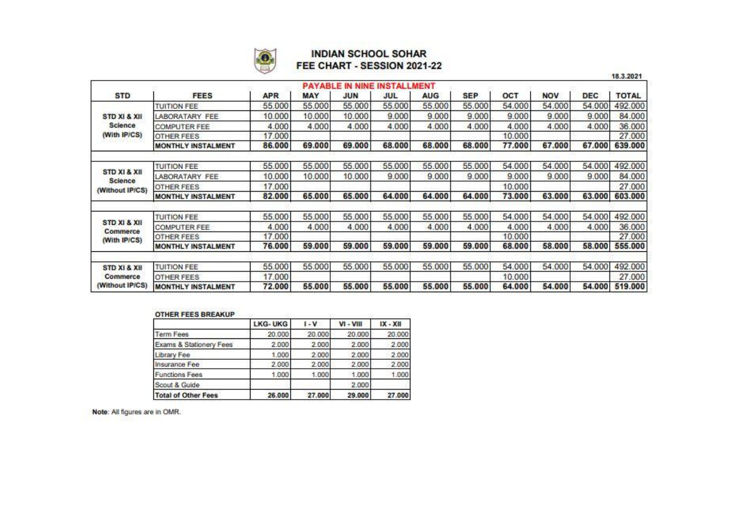

### **INDIAN SCHOOL SOHAR** FEE CHART - SESSION 2021-22

|                                   |                           |            |            |                        |                    |            |            |        |            |            | 18.3.2021    |
|-----------------------------------|---------------------------|------------|------------|------------------------|--------------------|------------|------------|--------|------------|------------|--------------|
|                                   |                           |            |            | <b>PAYABLE IN NINE</b> | <b>INSTALLMENT</b> |            |            |        |            |            |              |
| <b>STD</b>                        | <b>FEES</b>               | <b>APR</b> | <b>MAY</b> | <b>JUN</b>             | JUL                | <b>AUG</b> | <b>SEP</b> | OCT    | <b>NOV</b> | <b>DEC</b> | <b>TOTAL</b> |
|                                   | <b>TUITION FEE</b>        | 55,000     | 55,000     | 55.000                 | 55,000             | 55,000     | 55,000     | 54.000 | 54,000     | 54.000     | 492.000      |
| STD XI & XII                      | LABORATARY FEE            | 10.000     | 10.000     | 10.000                 | 9.000              | 9.000      | 9.000      | 9.000  | 9.000      | 9.000      | 84.000       |
| Science                           | <b>COMPUTER FEE</b>       | 4.000      | 4.000      | 4.000                  | 4.000              | 4.000      | 4.000      | 4.000  | 4.000      | 4.000      | 36.000       |
| (With IP/CS)                      | <b>OTHER FEES</b>         | 17.000     |            |                        |                    |            |            | 10.000 |            |            | 27.000       |
|                                   | MONTHLY INSTALMENT        | 86.000     | 69.000     | 69.000                 | 68.000             | 68.000     | 68.000     | 77.000 | 67.000     | 67.000     | 639.000      |
|                                   | <b>TUITION FEE</b>        | 55,000     | 55.000     | 55.000                 | 55.000             | 55.000     | 55.000     | 54.000 | 54.000     | 54.000     | 492.000      |
| STD XI & XII                      | LABORATARY FEE            | 10.000     | 10.000     | 10.000                 | 9.000              | 9.000      | 9.000      | 9.000  | 9.000      | 9.000      | 84.000       |
| <b>Science</b><br>(Without IP/CS) | <b>OTHER FEES</b>         | 17.000     |            |                        |                    |            |            | 10.000 |            |            | 27.000       |
|                                   | <b>MONTHLY INSTALMENT</b> | 82.000     | 65.000     | 65.000                 | 64.000             | 64.000     | 64.000     | 73.000 | 63.000     | 63.000     | 603.000      |
|                                   | <b>TUITION FEE</b>        | 55,000     | 55.000     | 55.000                 | 55.000             | 55.000     | 55.000     | 54.000 | 54,000     | 54.000     | 492.000      |
| STD XI & XII                      | <b>COMPUTER FEE</b>       | 4.000      | 4.000      | 4.000                  | 4.000              | 4.000      | 4.000      | 4.000  | 4.000      | 4.000      | 36.000       |
| Commerce<br>(With IP/CS)          | <b>OTHER FEES</b>         | 17.000     |            |                        |                    |            |            | 10.000 |            |            | 27.000       |
|                                   | <b>MONTHLY INSTALMENT</b> | 76.000     | 59.000     | 59,000                 | 59.000             | 59.000     | 59.000     | 68.000 | 58,000     | 58,000     | 555.000      |
| STD XI & XII                      | <b>TUITION FEE</b>        | 55.000     | 55,000     | 55,000                 | 55,000             | 55.000     | 55.000     | 54.000 | 54,000     | 54.000     | 492.000      |
| Commerce                          | <b>OTHER FEES</b>         | 17.000     |            |                        |                    |            |            | 10.000 |            |            | 27.000       |
| (Without IP/CS)                   | <b>MONTHLY INSTALMENT</b> | 72.000     | 55.000     | 55.000                 | 55.000             | 55.000     | 55.000     | 64,000 | 54.000     | 54,000     | 519.000      |

#### **OTHER FEES BREAKUP**

|                            | LKG-UKG | $I - V$ | $VI - VIII$ | $IX - XII$ |
|----------------------------|---------|---------|-------------|------------|
| Term Fees                  | 20,000  | 20.000  | 20,000      | 20.000     |
| Exams & Stationery Fees    | 2.000   | 2.000   | 2.000       | 2.000      |
| Library Fee                | 1.000   | 2.000   | 2,000       | 2.000      |
| Insurance Fee              | 2.000   | 2,000   | 2.000       | 2.000      |
| <b>Functions Fees</b>      | 1.000   | 1.000   | 1.000       | 1.000      |
| Scout & Guide              |         |         | 2,000       |            |
| <b>Total of Other Fees</b> | 26.000  | 27.000  | 29.000      | 27,000     |

Note: All figures are in OMR.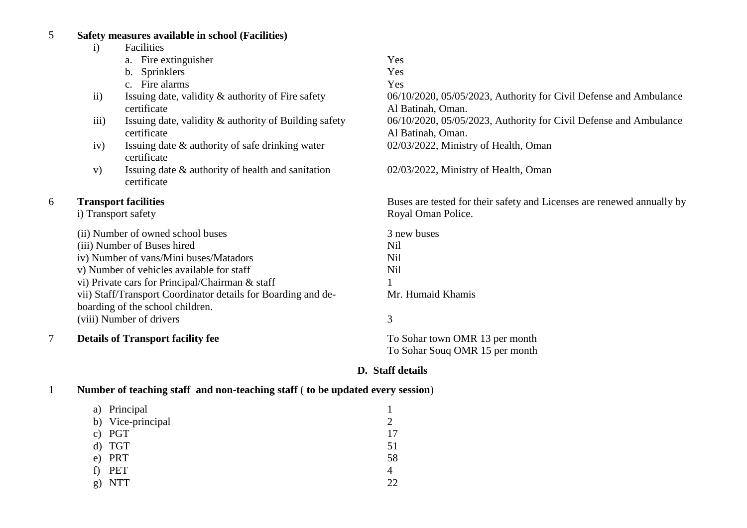# 5 **Safety measures available in school (Facilities)**

|   | $\mathbf{i}$ | Facilities                                                                                        |                                                                                        |
|---|--------------|---------------------------------------------------------------------------------------------------|----------------------------------------------------------------------------------------|
|   |              | a. Fire extinguisher                                                                              | Yes                                                                                    |
|   |              | <b>Sprinklers</b><br>b.                                                                           | Yes                                                                                    |
|   |              | c. Fire alarms                                                                                    | Yes                                                                                    |
|   | ii)          | Issuing date, validity & authority of Fire safety<br>certificate                                  | 06/10/2020, 05/05/2023, Authority for Civil Defense and Ambulance<br>Al Batinah, Oman. |
|   | iii)         | Issuing date, validity & authority of Building safety<br>certificate                              | 06/10/2020, 05/05/2023, Authority for Civil Defense and Ambulance<br>Al Batinah, Oman. |
|   | iv)          | Issuing date & authority of safe drinking water<br>certificate                                    | 02/03/2022, Ministry of Health, Oman                                                   |
|   | V)           | Issuing date & authority of health and sanitation<br>certificate                                  | 02/03/2022, Ministry of Health, Oman                                                   |
| 6 |              | <b>Transport facilities</b>                                                                       | Buses are tested for their safety and Licenses are renewed annually by                 |
|   |              | i) Transport safety                                                                               | Royal Oman Police.                                                                     |
|   |              | (ii) Number of owned school buses                                                                 | 3 new buses                                                                            |
|   |              | (iii) Number of Buses hired                                                                       | Nil                                                                                    |
|   |              | iv) Number of vans/Mini buses/Matadors                                                            | Nil                                                                                    |
|   |              | v) Number of vehicles available for staff                                                         | Nil                                                                                    |
|   |              | vi) Private cars for Principal/Chairman & staff                                                   |                                                                                        |
|   |              | vii) Staff/Transport Coordinator details for Boarding and de-<br>boarding of the school children. | Mr. Humaid Khamis                                                                      |
|   |              | (viii) Number of drivers                                                                          | 3                                                                                      |
| 7 |              | <b>Details of Transport facility fee</b>                                                          | To Sohar town OMR 13 per month                                                         |
|   |              |                                                                                                   | To Sohar Souq OMR 15 per month                                                         |

# **D. Staff details**

| Number of teaching staff and non-teaching staff (to be updated every session) |  |  |
|-------------------------------------------------------------------------------|--|--|
|                                                                               |  |  |

|    | a) Principal      |    |
|----|-------------------|----|
|    | b) Vice-principal |    |
|    | c) PGT            | 17 |
|    | d) TGT            | 51 |
|    | e) PRT            | 58 |
| f) | PET               | 4  |
| g) | <b>NTT</b>        | つつ |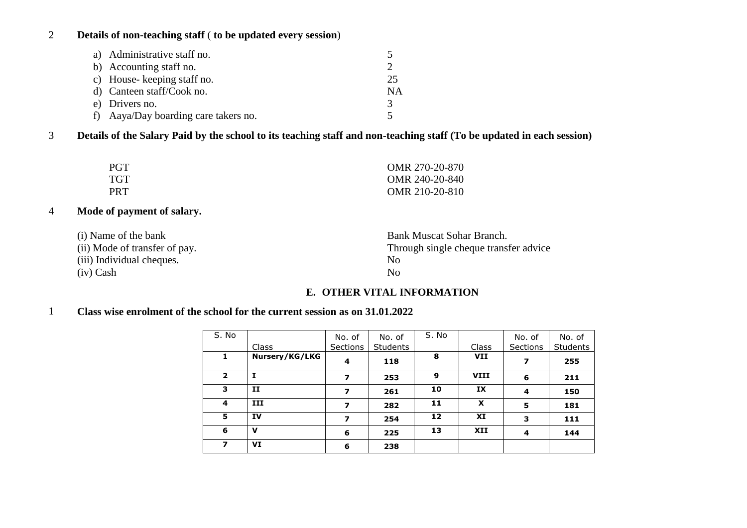# 2 **Details of non-teaching staff** ( **to be updated every session**)

| a) Administrative staff no.          |    |
|--------------------------------------|----|
| b) Accounting staff no.              |    |
| c) House-keeping staff no.           | 25 |
| d) Canteen staff/Cook no.            | NA |
| e) Drivers no.                       |    |
| f) Aaya/Day boarding care takers no. |    |

3 **Details of the Salary Paid by the school to its teaching staff and non-teaching staff (To be updated in each session)**

| <b>PGT</b> | OMR 270-20-870 |
|------------|----------------|
| <b>TGT</b> | OMR 240-20-840 |
| <b>PRT</b> | OMR 210-20-810 |

# 4 **Mode of payment of salary.**

| (i) Name of the bank          | Bank Muscat Sohar Branch.             |
|-------------------------------|---------------------------------------|
| (ii) Mode of transfer of pay. | Through single cheque transfer advice |
| (iii) Individual cheques.     | N <sub>0</sub>                        |
| $(iv)$ Cash                   | N <sub>0</sub>                        |

# **E. OTHER VITAL INFORMATION**

# 1 **Class wise enrolment of the school for the current session as on 31.01.2022**

| S. No                    | Class          | No. of<br>Sections | No. of<br><b>Students</b> | S. No | Class       | No. of<br><b>Sections</b> | No. of<br><b>Students</b> |
|--------------------------|----------------|--------------------|---------------------------|-------|-------------|---------------------------|---------------------------|
| 1                        | Nursery/KG/LKG | 4                  | 118                       | 8     | <b>VII</b>  | 7                         | 255                       |
| $\overline{2}$           | 1              | 7                  | 253                       | 9     | <b>VIII</b> | 6                         | 211                       |
| 3                        | 11             | 7                  | 261                       | 10    | IX          | 4                         | 150                       |
| 4                        | III            | 7                  | 282                       | 11    | X           | 5                         | 181                       |
| 5                        | <b>IV</b>      | 7                  | 254                       | 12    | XI          | 3                         | 111                       |
| 6                        | v              | 6                  | 225                       | 13    | XII         | 4                         | 144                       |
| $\overline{\phantom{a}}$ | VI             | 6                  | 238                       |       |             |                           |                           |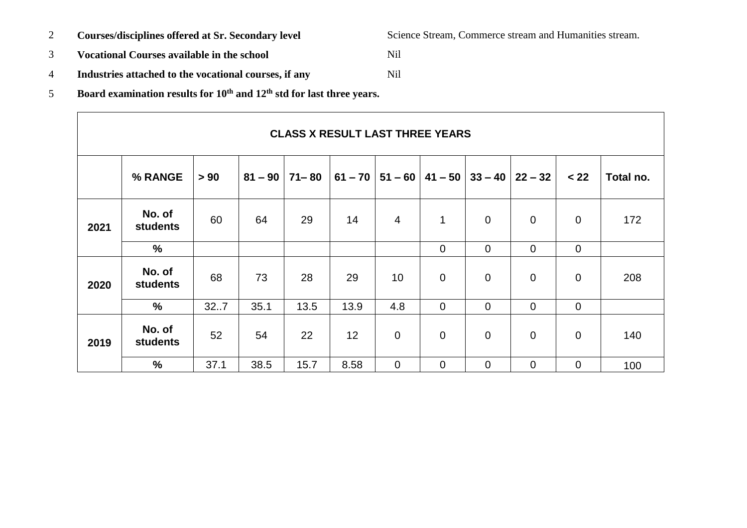- 
- 3 **Vocational Courses available in the school** Nil
- 4 **Industries attached to the vocational courses, if any** Nil
- 5 **Board examination results for 10th and 12th std for last three years.**

|      | % RANGE                   | > 90 | $81 - 90$ | $71 - 80$ | $61 - 70$ | $51 - 60$      | $41 - 50$      | $33 - 40$      | $22 - 32$      | < 22           | Total no. |
|------|---------------------------|------|-----------|-----------|-----------|----------------|----------------|----------------|----------------|----------------|-----------|
| 2021 | No. of<br><b>students</b> | 60   | 64        | 29        | 14        | $\overline{4}$ | 1              | $\mathbf 0$    | $\mathbf 0$    | $\overline{0}$ | 172       |
|      | $\frac{9}{6}$             |      |           |           |           |                | $\mathbf 0$    | $\mathbf 0$    | $\mathbf 0$    | $\mathbf 0$    |           |
| 2020 | No. of<br><b>students</b> | 68   | 73        | 28        | 29        | 10             | $\mathbf 0$    | $\mathbf 0$    | $\overline{0}$ | $\mathbf 0$    | 208       |
|      | $\%$                      | 327  | 35.1      | 13.5      | 13.9      | 4.8            | $\overline{0}$ | $\overline{0}$ | $\overline{0}$ | $\mathbf 0$    |           |
| 2019 | No. of<br>students        | 52   | 54        | 22        | 12        | $\mathbf 0$    | $\mathbf 0$    | $\mathbf 0$    | $\overline{0}$ | $\mathbf 0$    | 140       |
|      | $\%$                      | 37.1 | 38.5      | 15.7      | 8.58      | $\mathbf 0$    | $\mathbf 0$    | $\overline{0}$ | $\overline{0}$ | $\mathbf 0$    | 100       |

**CLASS X RESULT LAST THREE YEARS**

2 **Courses/disciplines offered at Sr. Secondary level** Science Stream, Commerce stream and Humanities stream.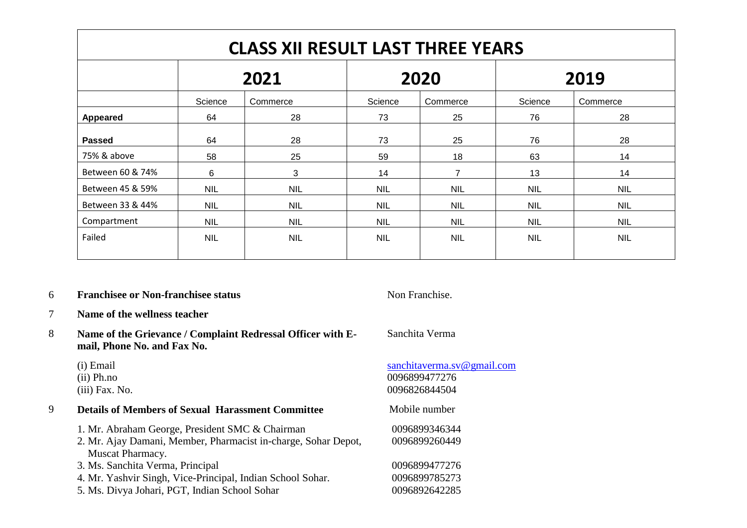| <b>CLASS XII RESULT LAST THREE YEARS</b> |            |            |            |            |            |            |  |  |
|------------------------------------------|------------|------------|------------|------------|------------|------------|--|--|
|                                          | 2021       |            |            | 2020       | 2019       |            |  |  |
|                                          | Science    | Commerce   | Science    | Commerce   | Science    | Commerce   |  |  |
| Appeared                                 | 64         | 28         | 73         | 25         | 76         | 28         |  |  |
| <b>Passed</b>                            | 64         | 28         | 73         | 25         | 76         | 28         |  |  |
| 75% & above                              | 58         | 25         | 59         | 18         | 63         | 14         |  |  |
| Between 60 & 74%                         | 6          | 3          | 14         | 7          | 13         | 14         |  |  |
| Between 45 & 59%                         | <b>NIL</b> | <b>NIL</b> | <b>NIL</b> | <b>NIL</b> | <b>NIL</b> | <b>NIL</b> |  |  |
| Between 33 & 44%                         | <b>NIL</b> | <b>NIL</b> | <b>NIL</b> | <b>NIL</b> | <b>NIL</b> | <b>NIL</b> |  |  |
| Compartment                              | <b>NIL</b> | <b>NIL</b> | <b>NIL</b> | <b>NIL</b> | <b>NIL</b> | <b>NIL</b> |  |  |
| Failed                                   | <b>NIL</b> | <b>NIL</b> | <b>NIL</b> | <b>NIL</b> | <b>NIL</b> | <b>NIL</b> |  |  |

#### 6 **Franchisee or Non-franchisee status** Non Franchise.

- 7 **Name of the wellness teacher**
- 8 **Name of the Grievance / Complaint Redressal Officer with Email, Phone No. and Fax No.**
	- (i) Email (ii) Ph.no
	- (iii) Fax. No.

## 9 **Details of Members of Sexual Harassment Committee** Mobile number

1. Mr. Abraham George, President SMC & Chairman 2. Mr. Ajay Damani, Member, Pharmacist in-charge, Sohar Depot, Muscat Pharmacy. 3. Ms. Sanchita Verma, Principal 4. Mr. Yashvir Singh, Vice-Principal, Indian School Sohar. 5. Ms. Divya Johari, PGT, Indian School Sohar 0096899477276 0096899785273 0096892642285

#### Sanchita Verma

# [sanchitaverma.sv@gmail.com](mailto:sanchitaverma.sv@gmail.com) 0096899477276 0096826844504

#### 0096899346344 0096899260449